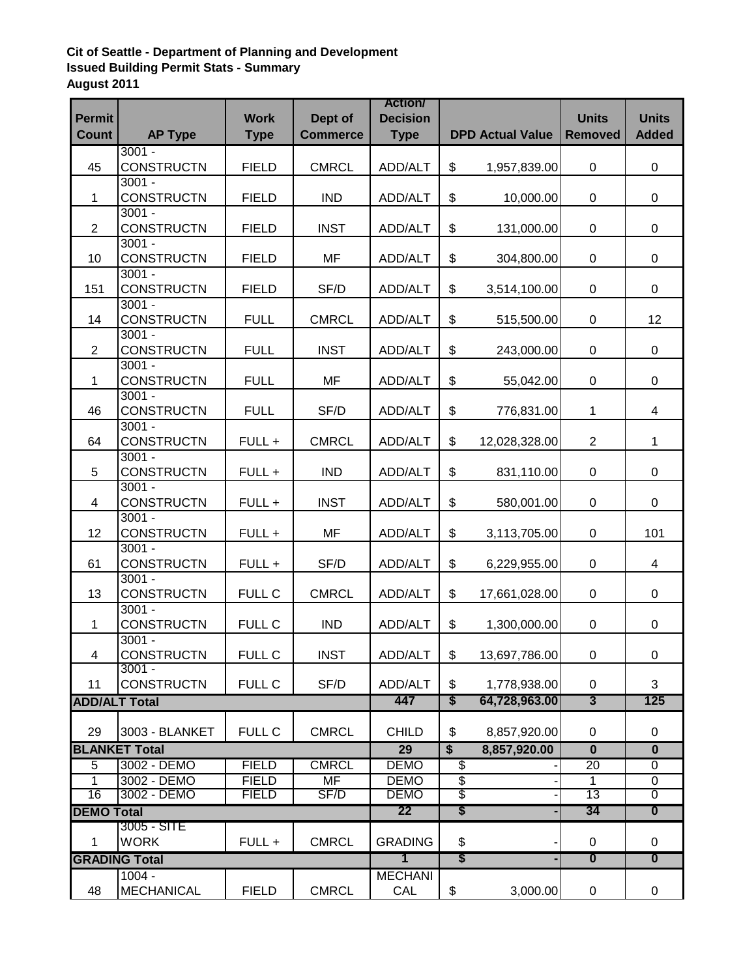## **Cit of Seattle - Department of Planning and Development Issued Building Permit Stats - Summary August 2011**

| <b>Permit</b><br><b>Count</b> | <b>AP Type</b>                | <b>Work</b><br><b>Type</b> | Dept of<br><b>Commerce</b> | <b>Action</b><br><b>Decision</b><br><b>Type</b> | <b>DPD Actual Value</b> |                               | <b>Units</b><br><b>Removed</b> | <b>Units</b><br><b>Added</b> |
|-------------------------------|-------------------------------|----------------------------|----------------------------|-------------------------------------------------|-------------------------|-------------------------------|--------------------------------|------------------------------|
|                               | $3001 -$                      |                            |                            |                                                 |                         |                               |                                |                              |
| 45                            | <b>CONSTRUCTN</b><br>$3001 -$ | <b>FIELD</b>               | <b>CMRCL</b>               | ADD/ALT                                         | \$                      | 1,957,839.00                  | $\mathbf 0$                    | $\mathbf 0$                  |
| 1                             | <b>CONSTRUCTN</b>             | <b>FIELD</b>               | <b>IND</b>                 | ADD/ALT                                         | \$                      | 10,000.00                     | 0                              | 0                            |
|                               | $3001 -$                      |                            |                            |                                                 |                         |                               |                                |                              |
| 2                             | <b>CONSTRUCTN</b><br>$3001 -$ | <b>FIELD</b>               | <b>INST</b>                | ADD/ALT                                         | \$                      | 131,000.00                    | $\mathbf 0$                    | $\mathbf 0$                  |
| 10                            | <b>CONSTRUCTN</b>             | <b>FIELD</b>               | MF                         | ADD/ALT                                         | \$                      | 304,800.00                    | $\mathbf 0$                    | 0                            |
| 151                           | $3001 -$<br><b>CONSTRUCTN</b> | <b>FIELD</b>               | SF/D                       | ADD/ALT                                         | \$                      | 3,514,100.00                  | $\mathbf 0$                    | 0                            |
|                               | $3001 -$                      |                            |                            |                                                 |                         |                               |                                |                              |
| 14                            | <b>CONSTRUCTN</b>             | <b>FULL</b>                | <b>CMRCL</b>               | ADD/ALT                                         | \$                      | 515,500.00                    | $\mathbf 0$                    | 12                           |
| $\overline{2}$                | $3001 -$<br><b>CONSTRUCTN</b> | <b>FULL</b>                | <b>INST</b>                | ADD/ALT                                         | \$                      | 243,000.00                    | 0                              | 0                            |
|                               | $3001 -$                      |                            |                            |                                                 |                         |                               |                                |                              |
| 1                             | <b>CONSTRUCTN</b>             | <b>FULL</b>                | MF                         | ADD/ALT                                         | \$                      | 55,042.00                     | 0                              | 0                            |
| 46                            | $3001 -$<br><b>CONSTRUCTN</b> | <b>FULL</b>                | SF/D                       | ADD/ALT                                         | \$                      | 776,831.00                    | $\mathbf{1}$                   | 4                            |
|                               | $3001 -$                      |                            |                            |                                                 |                         |                               |                                |                              |
| 64                            | <b>CONSTRUCTN</b>             | FULL +                     | <b>CMRCL</b>               | ADD/ALT                                         | \$                      | 12,028,328.00                 | $\overline{2}$                 | $\mathbf{1}$                 |
|                               | $3001 -$                      |                            |                            |                                                 |                         |                               |                                |                              |
| 5                             | <b>CONSTRUCTN</b>             | FULL +                     | <b>IND</b>                 | ADD/ALT                                         | \$                      | 831,110.00                    | $\mathbf 0$                    | 0                            |
| 4                             | $3001 -$<br><b>CONSTRUCTN</b> | FULL +                     | <b>INST</b>                | ADD/ALT                                         | \$                      | 580,001.00                    | $\mathbf 0$                    | 0                            |
|                               | $3001 -$                      |                            |                            |                                                 |                         |                               |                                |                              |
| 12 <sup>2</sup>               | <b>CONSTRUCTN</b>             | FULL +                     | MF                         | ADD/ALT                                         | \$                      | 3,113,705.00                  | $\mathbf 0$                    | 101                          |
| 61                            | $3001 -$<br><b>CONSTRUCTN</b> | FULL +                     | SF/D                       | ADD/ALT                                         | \$                      | 6,229,955.00                  | $\mathbf 0$                    | $\overline{4}$               |
|                               | $3001 -$                      |                            |                            |                                                 |                         |                               |                                |                              |
| 13                            | <b>CONSTRUCTN</b>             | <b>FULL C</b>              | <b>CMRCL</b>               | ADD/ALT                                         | \$                      | 17,661,028.00                 | 0                              | 0                            |
|                               | $3001 -$                      |                            |                            |                                                 |                         |                               |                                |                              |
| 1                             | <b>CONSTRUCTN</b>             | <b>FULL C</b>              | <b>IND</b>                 | ADD/ALT                                         | \$                      | 1,300,000.00                  | 0                              | $\Omega$                     |
| 4                             | $3001 -$<br><b>CONSTRUCTN</b> | FULL C                     | <b>INST</b>                | ADD/ALT                                         | \$                      | 13,697,786.00                 | 0                              | 0                            |
|                               | $3001 -$                      |                            |                            |                                                 |                         |                               |                                |                              |
| 11<br><b>ADD/ALT Total</b>    | <b>CONSTRUCTN</b>             | <b>FULL C</b>              | SF/D                       | ADD/ALT<br>447                                  | \$<br>S                 | 1,778,938.00<br>64,728,963.00 | 0<br>$\overline{3}$            | 3<br>125                     |
|                               |                               |                            |                            |                                                 |                         |                               |                                |                              |
| 29                            | 3003 - BLANKET                | <b>FULL C</b>              | <b>CMRCL</b>               | <b>CHILD</b>                                    | \$                      | 8,857,920.00                  | $\Omega$                       | 0                            |
|                               | <b>BLANKET Total</b>          |                            |                            | 29                                              | $\overline{\$}$         | 8,857,920.00                  | $\overline{\mathbf{0}}$        | $\overline{\mathbf{0}}$      |
| $\overline{5}$                | 3002 - DEMO                   | <b>FIELD</b>               | <b>CMRCL</b>               | <b>DEMO</b>                                     | \$                      |                               | $\overline{20}$                | 0                            |
| 1                             | 3002 - DEMO                   | <b>FIELD</b>               | MF                         | <b>DEMO</b>                                     | $\overline{\mathbf{e}}$ |                               | 1                              | 0                            |
| 16                            | 3002 - DEMO                   | <b>FIELD</b>               | SF/D                       | <b>DEMO</b>                                     | \$                      |                               | 13                             | $\overline{0}$               |
| <b>DEMO Total</b>             |                               |                            | 22                         | \$                                              |                         | 34                            | $\boldsymbol{0}$               |                              |
| $\mathbf{1}$                  | 3005 - SITE<br><b>WORK</b>    | FULL +                     | <b>CMRCL</b>               | <b>GRADING</b>                                  | \$                      |                               | $\Omega$                       | $\Omega$                     |
|                               | <b>GRADING Total</b>          |                            |                            | $\mathbf 1$                                     | \$                      |                               | $\overline{\mathbf{0}}$        | $\overline{\mathbf{0}}$      |
|                               | $1004 -$                      |                            |                            | <b>MECHANI</b>                                  |                         |                               |                                |                              |
| 48                            | <b>MECHANICAL</b>             | <b>FIELD</b>               | <b>CMRCL</b>               | CAL                                             | \$                      | 3,000.00                      | $\mathbf 0$                    | 0                            |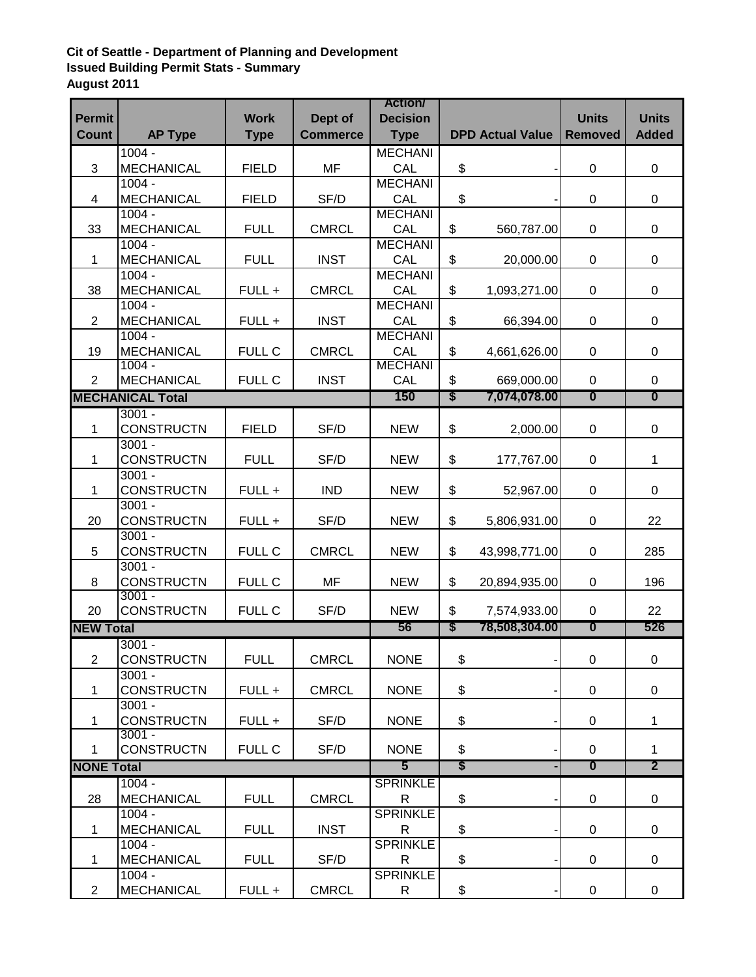## **Cit of Seattle - Department of Planning and Development Issued Building Permit Stats - Summary August 2011**

|                   |                               |               |                 | <b>Action</b>         |                |                         |                         |                         |
|-------------------|-------------------------------|---------------|-----------------|-----------------------|----------------|-------------------------|-------------------------|-------------------------|
| <b>Permit</b>     |                               | <b>Work</b>   | Dept of         | <b>Decision</b>       |                |                         | <b>Units</b>            | <b>Units</b>            |
| <b>Count</b>      | <b>AP Type</b>                | <b>Type</b>   | <b>Commerce</b> | <b>Type</b>           |                | <b>DPD Actual Value</b> | <b>Removed</b>          | <b>Added</b>            |
|                   | $1004 -$                      |               |                 | <b>MECHANI</b>        |                |                         |                         |                         |
| 3                 | <b>MECHANICAL</b>             | <b>FIELD</b>  | <b>MF</b>       | CAL                   | \$             |                         | 0                       | $\mathbf 0$             |
|                   | $1004 -$                      |               |                 | <b>MECHANI</b>        |                |                         |                         |                         |
| 4                 | <b>MECHANICAL</b>             | <b>FIELD</b>  | SF/D            | CAL                   | \$             |                         | $\mathbf 0$             | 0                       |
|                   | $1004 -$                      |               |                 | <b>MECHANI</b>        |                |                         |                         |                         |
| 33                | <b>MECHANICAL</b>             | <b>FULL</b>   | <b>CMRCL</b>    | CAL                   | \$             | 560,787.00              | $\mathbf 0$             | 0                       |
|                   | $1004 -$                      |               |                 | <b>MECHANI</b>        |                |                         |                         |                         |
| 1                 | <b>MECHANICAL</b>             | <b>FULL</b>   | <b>INST</b>     | CAL                   | \$             | 20,000.00               | $\mathbf 0$             | 0                       |
|                   | $1004 -$                      |               |                 | <b>MECHANI</b><br>CAL |                |                         |                         |                         |
| 38                | <b>MECHANICAL</b><br>$1004 -$ | FULL +        | <b>CMRCL</b>    | <b>MECHANI</b>        | \$             | 1,093,271.00            | 0                       | 0                       |
| $\overline{2}$    | <b>MECHANICAL</b>             | FULL +        | <b>INST</b>     | CAL                   | \$             | 66,394.00               | $\mathbf 0$             | 0                       |
|                   | $1004 -$                      |               |                 | <b>MECHANI</b>        |                |                         |                         |                         |
| 19                | <b>MECHANICAL</b>             | <b>FULL C</b> | <b>CMRCL</b>    | CAL                   | \$             | 4,661,626.00            | 0                       | 0                       |
|                   | $1004 -$                      |               |                 | <b>MECHANI</b>        |                |                         |                         |                         |
| $\overline{2}$    | <b>MECHANICAL</b>             | FULL C        | <b>INST</b>     | CAL                   | \$             | 669,000.00              | 0                       | 0                       |
|                   | <b>MECHANICAL Total</b>       |               |                 | 150                   | S              | 7,074,078.00            | $\overline{\mathbf{0}}$ | $\overline{\mathbf{0}}$ |
|                   | $3001 -$                      |               |                 |                       |                |                         |                         |                         |
| 1                 | <b>CONSTRUCTN</b>             | <b>FIELD</b>  | SF/D            | <b>NEW</b>            | $\mathfrak{S}$ | 2,000.00                | $\mathbf 0$             | 0                       |
| $\mathbf{1}$      | $3001 -$<br><b>CONSTRUCTN</b> | <b>FULL</b>   | SF/D            | <b>NEW</b>            | \$             | 177,767.00              | $\mathbf 0$             | $\mathbf{1}$            |
|                   | $3001 -$                      |               |                 |                       |                |                         |                         |                         |
| 1                 | <b>CONSTRUCTN</b>             | FULL +        | <b>IND</b>      | <b>NEW</b>            | \$             | 52,967.00               | $\mathbf 0$             | 0                       |
|                   | $3001 -$                      |               |                 |                       |                |                         |                         |                         |
| 20                | <b>CONSTRUCTN</b>             | FULL +        | SF/D            | <b>NEW</b>            | \$             | 5,806,931.00            | $\mathbf 0$             | 22                      |
|                   | $3001 -$                      |               |                 |                       |                |                         |                         |                         |
| 5                 | <b>CONSTRUCTN</b>             | <b>FULL C</b> | <b>CMRCL</b>    | <b>NEW</b>            | \$             | 43,998,771.00           | 0                       | 285                     |
|                   | $3001 -$                      |               |                 |                       |                |                         |                         |                         |
| 8                 | <b>CONSTRUCTN</b><br>$3001 -$ | <b>FULL C</b> | MF              | <b>NEW</b>            | \$             | 20,894,935.00           | 0                       | 196                     |
| 20                | <b>CONSTRUCTN</b>             | <b>FULL C</b> | SF/D            | <b>NEW</b>            | \$             | 7,574,933.00            | 0                       | 22                      |
| <b>NEW Total</b>  |                               |               |                 | 56                    | S              | 78,508,304.00           | $\boldsymbol{0}$        | 526                     |
|                   | $3001 -$                      |               |                 |                       |                |                         |                         |                         |
| $\overline{2}$    | <b>CONSTRUCTN</b>             | <b>FULL</b>   | <b>CMRCL</b>    | <b>NONE</b>           | \$             |                         | 0                       | $\mathbf 0$             |
|                   | $3001 -$                      |               |                 |                       |                |                         |                         |                         |
| $\mathbf 1$       | <b>CONSTRUCTN</b>             | $FULL +$      | <b>CMRCL</b>    | <b>NONE</b>           | \$             |                         | $\mathbf 0$             | $\mathbf 0$             |
|                   | $3001 -$                      |               |                 |                       |                |                         |                         |                         |
| $\mathbf 1$       | <b>CONSTRUCTN</b>             | FULL +        | SF/D            | <b>NONE</b>           | \$             |                         | 0                       | $\mathbf 1$             |
|                   | $3001 -$                      |               |                 |                       |                |                         |                         |                         |
| $\mathbf 1$       | <b>CONSTRUCTN</b>             | <b>FULL C</b> | SF/D            | <b>NONE</b>           | \$             |                         | 0                       | $\mathbf{1}$            |
| <b>NONE Total</b> |                               |               |                 | $5^-$                 | $\mathsf{s}$   |                         | $\overline{\mathbf{0}}$ | $\overline{2}$          |
|                   | $1004 -$                      |               |                 | <b>SPRINKLE</b>       |                |                         |                         |                         |
| 28                | <b>MECHANICAL</b>             | <b>FULL</b>   | <b>CMRCL</b>    | $\mathsf{R}$          | \$             |                         | $\overline{0}$          | $\mathbf 0$             |
|                   | $1004 -$                      |               |                 | <b>SPRINKLE</b>       |                |                         |                         |                         |
| $\mathbf{1}$      | <b>MECHANICAL</b><br>$1004 -$ | <b>FULL</b>   | <b>INST</b>     | R<br><b>SPRINKLE</b>  | \$             |                         | $\mathbf 0$             | $\mathbf 0$             |
| $\mathbf{1}$      | <b>MECHANICAL</b>             | <b>FULL</b>   | SF/D            | R                     | \$             |                         | 0                       | 0                       |
|                   | $1004 -$                      |               |                 | <b>SPRINKLE</b>       |                |                         |                         |                         |
| $\overline{2}$    | <b>MECHANICAL</b>             | FULL +        | <b>CMRCL</b>    | R                     | \$             |                         | 0                       | 0                       |
|                   |                               |               |                 |                       |                |                         |                         |                         |